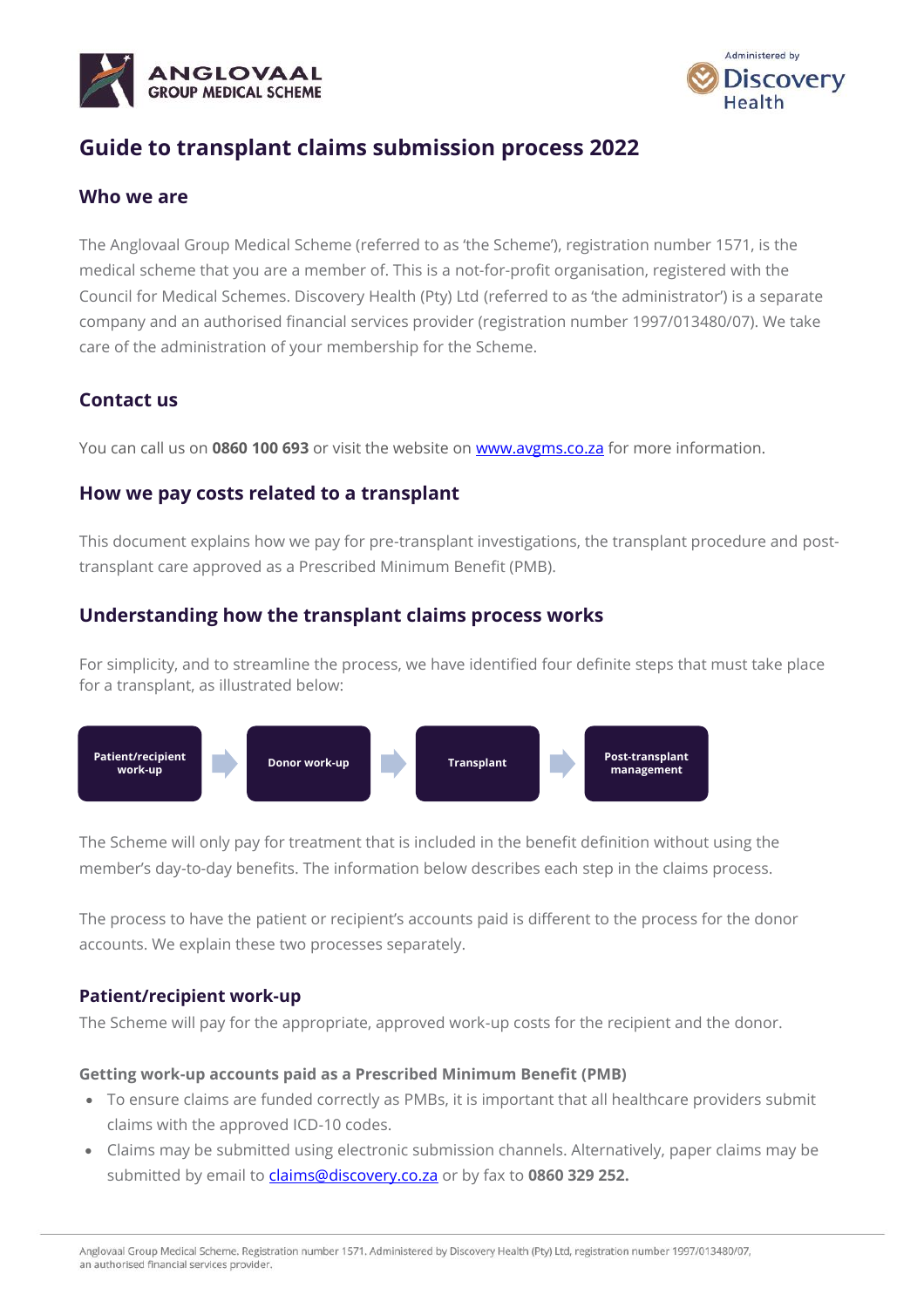



# **Guide to transplant claims submission process 2022**

### **Who we are**

The Anglovaal Group Medical Scheme (referred to as 'the Scheme'), registration number 1571, is the medical scheme that you are a member of. This is a not-for-profit organisation, registered with the Council for Medical Schemes. Discovery Health (Pty) Ltd (referred to as 'the administrator') is a separate company and an authorised financial services provider (registration number 1997/013480/07). We take care of the administration of your membership for the Scheme.

## **Contact us**

You can call us on **0860 100 693** or visit the website on [www.avgms.co.za](http://www.avgms.co.za/) for more information.

### **How we pay costs related to a transplant**

This document explains how we pay for pre-transplant investigations, the transplant procedure and posttransplant care approved as a Prescribed Minimum Benefit (PMB).

## **Understanding how the transplant claims process works**

For simplicity, and to streamline the process, we have identified four definite steps that must take place for a transplant, as illustrated below:



The Scheme will only pay for treatment that is included in the benefit definition without using the member's day-to-day benefits. The information below describes each step in the claims process.

The process to have the patient or recipient's accounts paid is different to the process for the donor accounts. We explain these two processes separately.

### **Patient/recipient work-up**

The Scheme will pay for the appropriate, approved work-up costs for the recipient and the donor.

#### **Getting work-up accounts paid as a Prescribed Minimum Benefit (PMB)**

- To ensure claims are funded correctly as PMBs, it is important that all healthcare providers submit claims with the approved ICD-10 codes.
- Claims may be submitted using electronic submission channels. Alternatively, paper claims may be submitted by email to *claims@discovery.co.za* or by fax to 0860 329 252.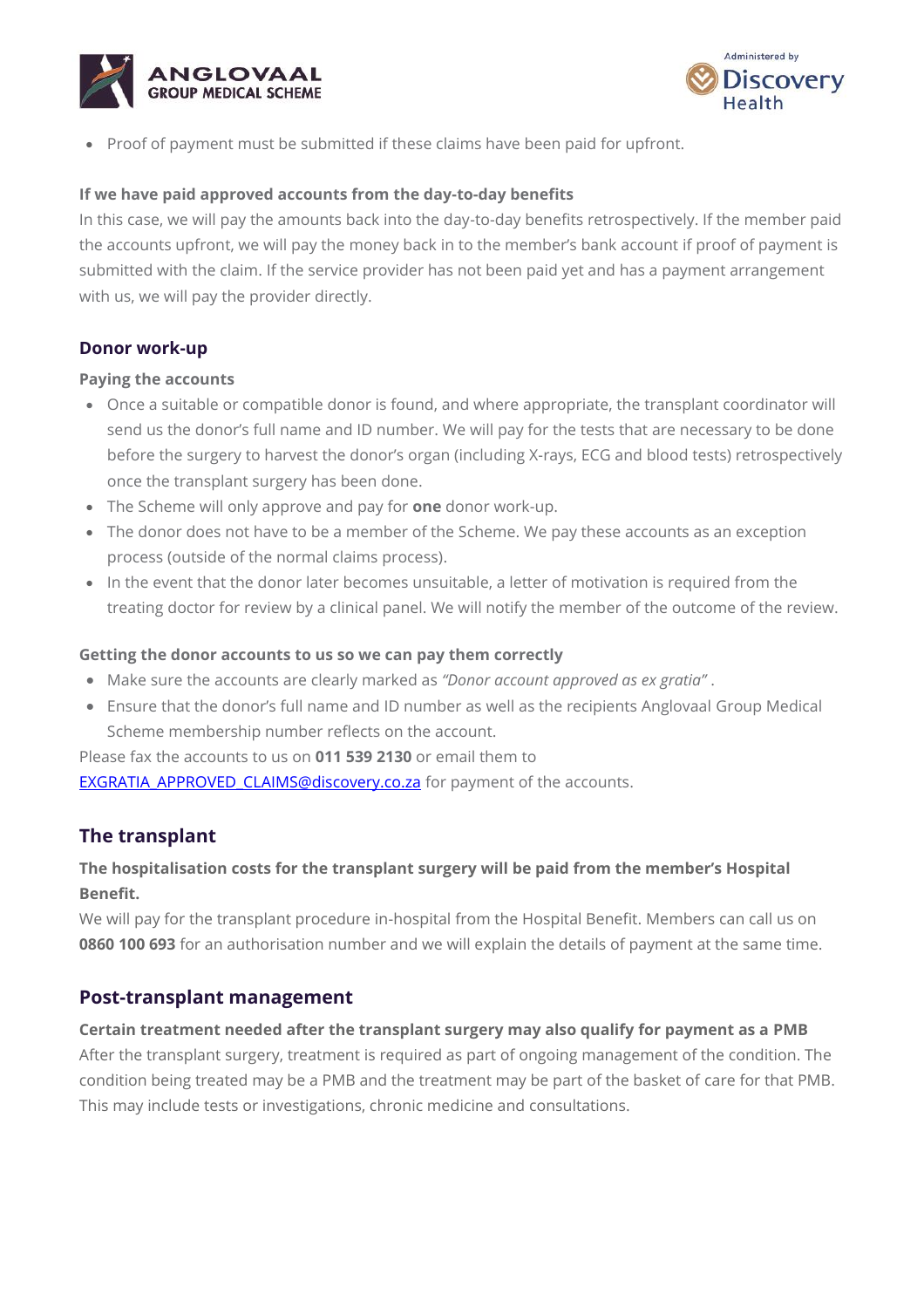



• Proof of payment must be submitted if these claims have been paid for upfront.

### **If we have paid approved accounts from the day-to-day benefits**

In this case, we will pay the amounts back into the day-to-day benefits retrospectively. If the member paid the accounts upfront, we will pay the money back in to the member's bank account if proof of payment is submitted with the claim. If the service provider has not been paid yet and has a payment arrangement with us, we will pay the provider directly.

### **Donor work-up**

#### **Paying the accounts**

- Once a suitable or compatible donor is found, and where appropriate, the transplant coordinator will send us the donor's full name and ID number. We will pay for the tests that are necessary to be done before the surgery to harvest the donor's organ (including X-rays, ECG and blood tests) retrospectively once the transplant surgery has been done.
- The Scheme will only approve and pay for **one** donor work-up.
- The donor does not have to be a member of the Scheme. We pay these accounts as an exception process (outside of the normal claims process).
- In the event that the donor later becomes unsuitable, a letter of motivation is required from the treating doctor for review by a clinical panel. We will notify the member of the outcome of the review.

#### **Getting the donor accounts to us so we can pay them correctly**

- Make sure the accounts are clearly marked as *"Donor account approved as ex gratia"* .
- Ensure that the donor's full name and ID number as well as the recipients Anglovaal Group Medical Scheme membership number reflects on the account.

Please fax the accounts to us on **011 539 2130** or email them to [EXGRATIA\\_APPROVED\\_CLAIMS@discovery.co.za](mailto:EXGRATIA_APPROVED_CLAIMS@discovery.co.za) for payment of the accounts.

# **The transplant**

# **The hospitalisation costs for the transplant surgery will be paid from the member's Hospital Benefit.**

We will pay for the transplant procedure in-hospital from the Hospital Benefit. Members can call us on **0860 100 693** for an authorisation number and we will explain the details of payment at the same time.

### **Post-transplant management**

#### **Certain treatment needed after the transplant surgery may also qualify for payment as a PMB**

After the transplant surgery, treatment is required as part of ongoing management of the condition. The condition being treated may be a PMB and the treatment may be part of the basket of care for that PMB. This may include tests or investigations, chronic medicine and consultations.